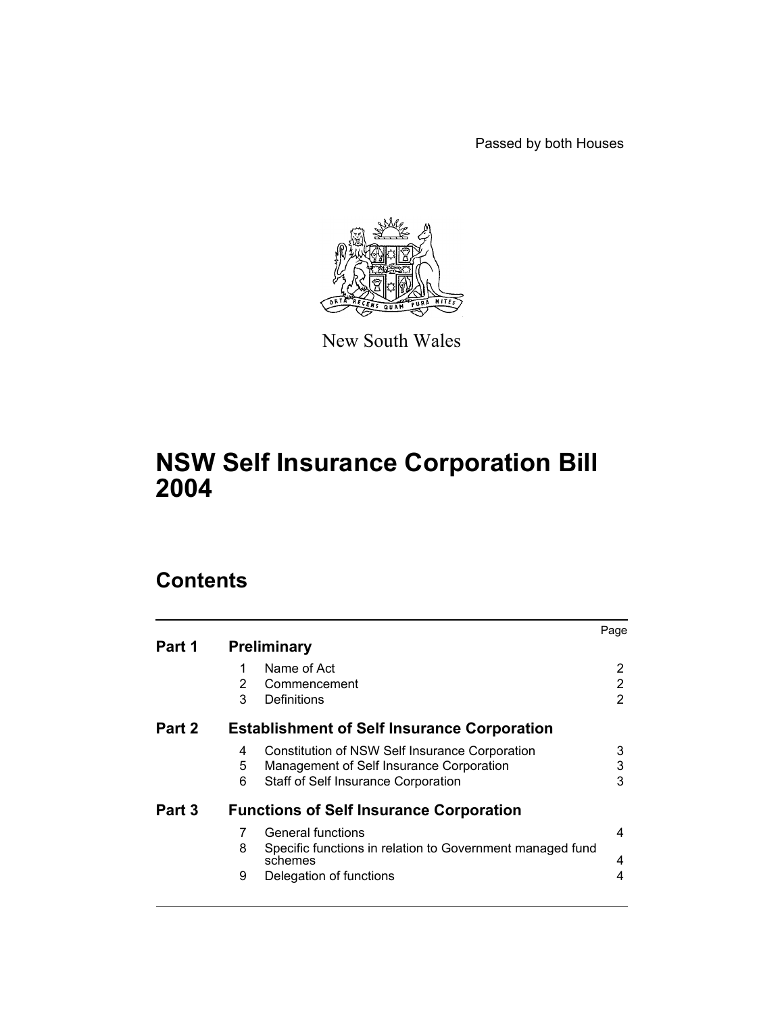Passed by both Houses



New South Wales

# **NSW Self Insurance Corporation Bill 2004**

# **Contents**

| Part 1 | <b>Preliminary</b>                                                                                                                               | Page        |  |  |
|--------|--------------------------------------------------------------------------------------------------------------------------------------------------|-------------|--|--|
|        | Name of Act<br>1<br>2<br>Commencement<br>3<br>Definitions                                                                                        | 2<br>2<br>2 |  |  |
| Part 2 | <b>Establishment of Self Insurance Corporation</b>                                                                                               |             |  |  |
|        | Constitution of NSW Self Insurance Corporation<br>4<br>5<br>Management of Self Insurance Corporation<br>6<br>Staff of Self Insurance Corporation | 3<br>3<br>3 |  |  |
| Part 3 | <b>Functions of Self Insurance Corporation</b>                                                                                                   |             |  |  |
|        | General functions<br>7<br>Specific functions in relation to Government managed fund<br>8<br>schemes<br>Delegation of functions<br>9              | 4<br>4<br>4 |  |  |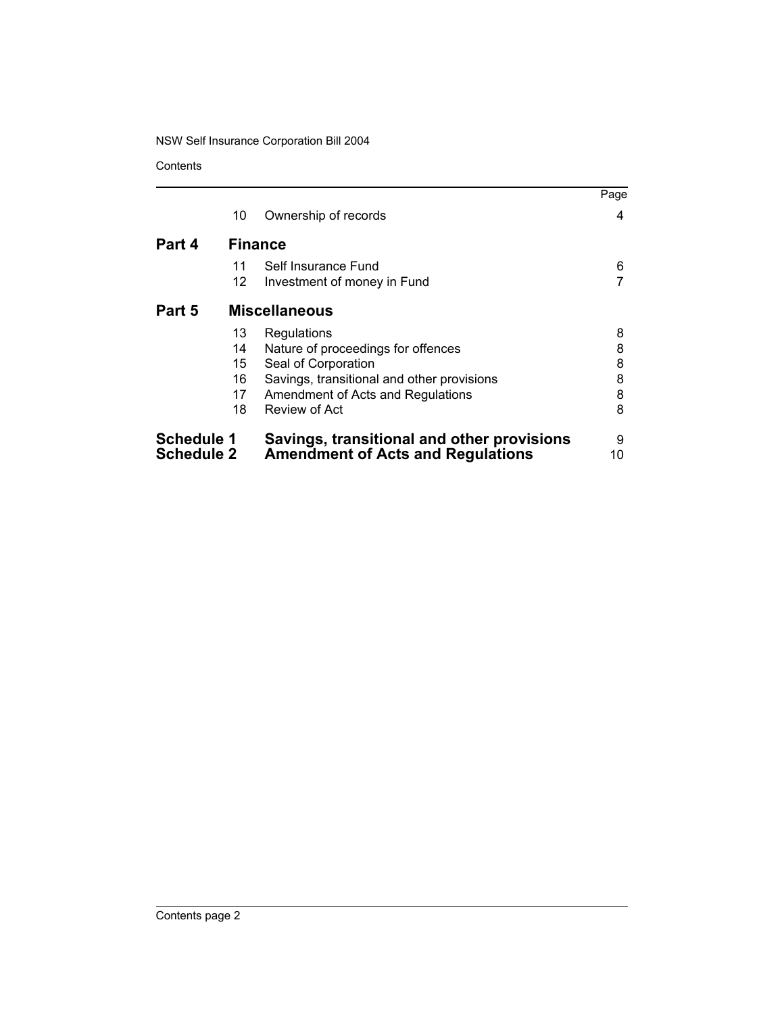**Contents** 

|                   |                      |                                            | Page |  |  |
|-------------------|----------------------|--------------------------------------------|------|--|--|
|                   | 10                   | Ownership of records                       | 4    |  |  |
| Part 4            | <b>Finance</b>       |                                            |      |  |  |
|                   | 11                   | Self Insurance Fund                        | 6    |  |  |
|                   | 12                   | Investment of money in Fund                |      |  |  |
| Part 5            | <b>Miscellaneous</b> |                                            |      |  |  |
|                   | 13                   | Regulations                                | 8    |  |  |
|                   | 14                   | Nature of proceedings for offences         | 8    |  |  |
|                   | 15                   | Seal of Corporation                        | 8    |  |  |
|                   | 16                   | Savings, transitional and other provisions | 8    |  |  |
|                   | 17                   | Amendment of Acts and Regulations          | 8    |  |  |
|                   | 18                   | Review of Act                              | 8    |  |  |
| <b>Schedule 1</b> |                      | Savings, transitional and other provisions | 9    |  |  |
| <b>Schedule 2</b> |                      | <b>Amendment of Acts and Regulations</b>   | 10   |  |  |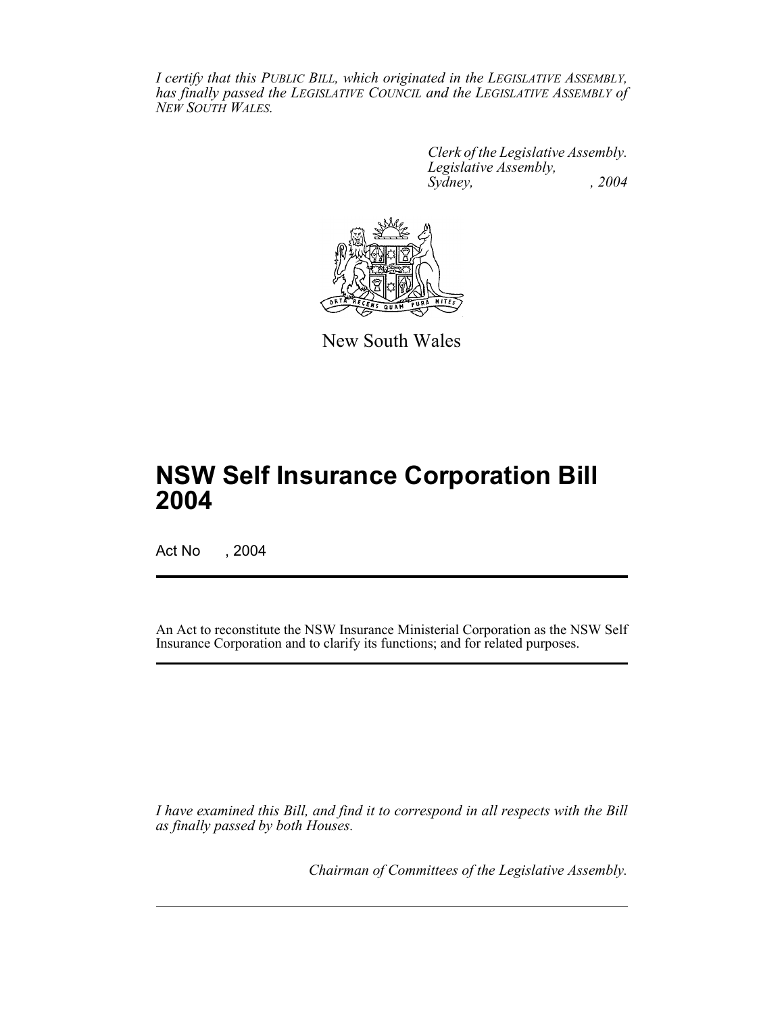*I certify that this PUBLIC BILL, which originated in the LEGISLATIVE ASSEMBLY, has finally passed the LEGISLATIVE COUNCIL and the LEGISLATIVE ASSEMBLY of NEW SOUTH WALES.*

> *Clerk of the Legislative Assembly. Legislative Assembly, Sydney, , 2004*



New South Wales

# **NSW Self Insurance Corporation Bill 2004**

Act No , 2004

An Act to reconstitute the NSW Insurance Ministerial Corporation as the NSW Self Insurance Corporation and to clarify its functions; and for related purposes.

*I have examined this Bill, and find it to correspond in all respects with the Bill as finally passed by both Houses.*

*Chairman of Committees of the Legislative Assembly.*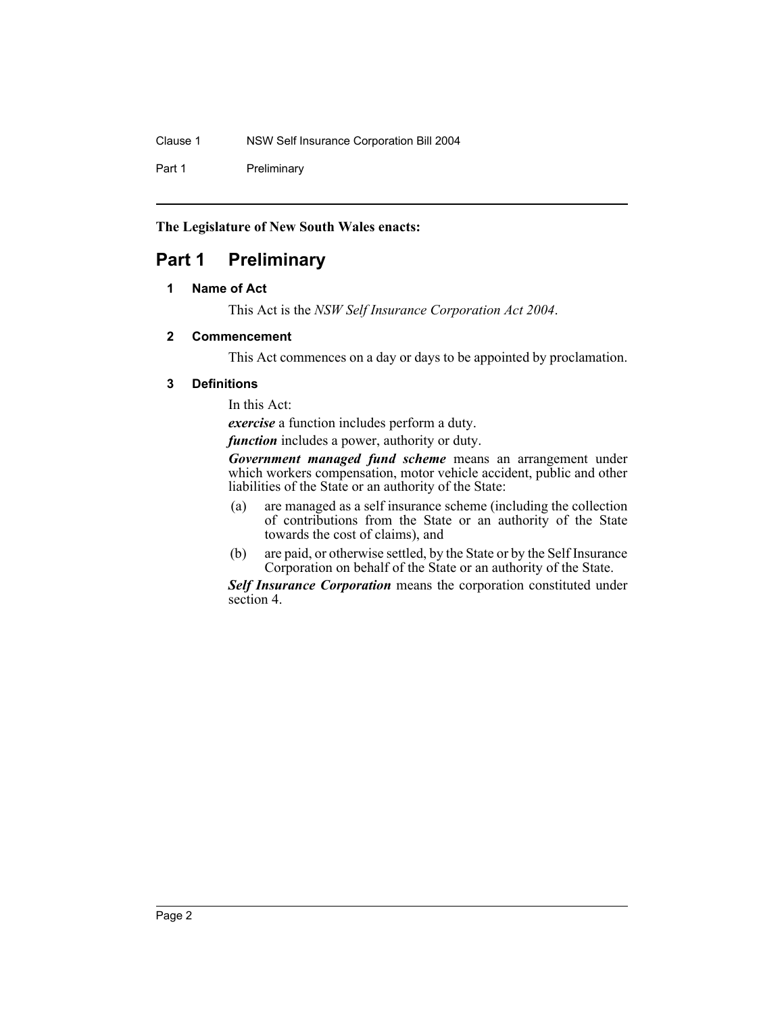Part 1 Preliminary

## **The Legislature of New South Wales enacts:**

## **Part 1 Preliminary**

## **1 Name of Act**

This Act is the *NSW Self Insurance Corporation Act 2004*.

## **2 Commencement**

This Act commences on a day or days to be appointed by proclamation.

## **3 Definitions**

In this Act:

*exercise* a function includes perform a duty.

*function* includes a power, authority or duty.

*Government managed fund scheme* means an arrangement under which workers compensation, motor vehicle accident, public and other liabilities of the State or an authority of the State:

- (a) are managed as a self insurance scheme (including the collection of contributions from the State or an authority of the State towards the cost of claims), and
- (b) are paid, or otherwise settled, by the State or by the Self Insurance Corporation on behalf of the State or an authority of the State.

*Self Insurance Corporation* means the corporation constituted under section 4.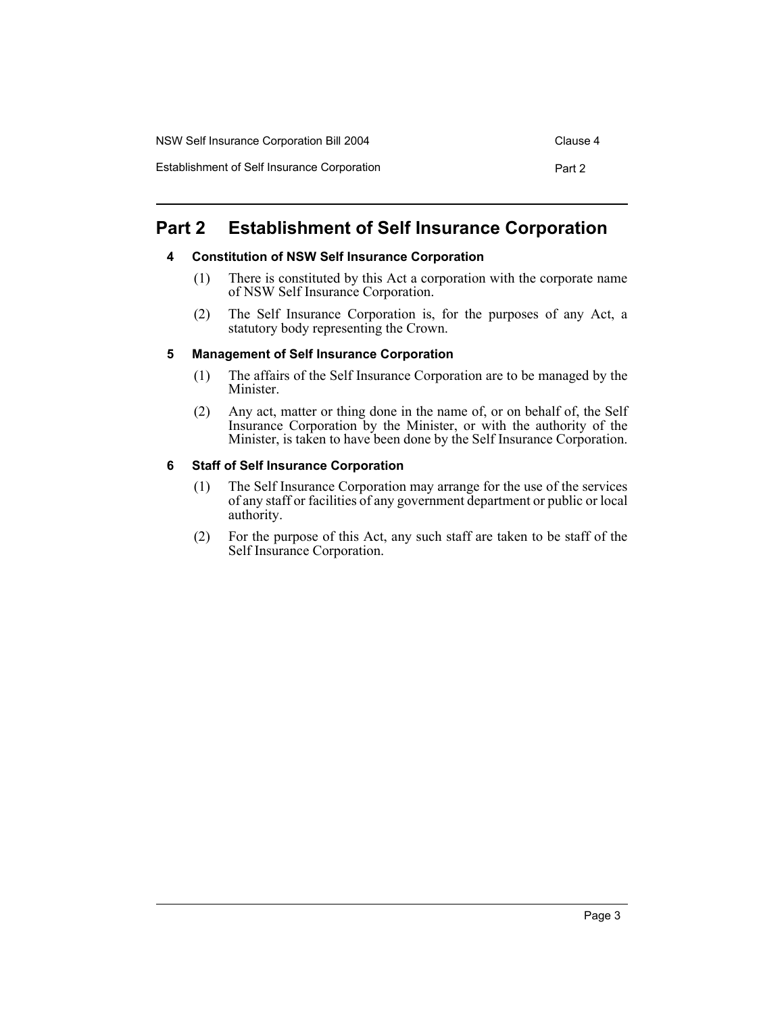| NSW Self Insurance Corporation Bill 2004    | Clause 4 |
|---------------------------------------------|----------|
| Establishment of Self Insurance Corporation | Part 2   |

## **Part 2 Establishment of Self Insurance Corporation**

#### **4 Constitution of NSW Self Insurance Corporation**

- (1) There is constituted by this Act a corporation with the corporate name of NSW Self Insurance Corporation.
- (2) The Self Insurance Corporation is, for the purposes of any Act, a statutory body representing the Crown.

#### **5 Management of Self Insurance Corporation**

- (1) The affairs of the Self Insurance Corporation are to be managed by the Minister.
- (2) Any act, matter or thing done in the name of, or on behalf of, the Self Insurance Corporation by the Minister, or with the authority of the Minister, is taken to have been done by the Self Insurance Corporation.

#### **6 Staff of Self Insurance Corporation**

- (1) The Self Insurance Corporation may arrange for the use of the services of any staff or facilities of any government department or public or local authority.
- (2) For the purpose of this Act, any such staff are taken to be staff of the Self Insurance Corporation.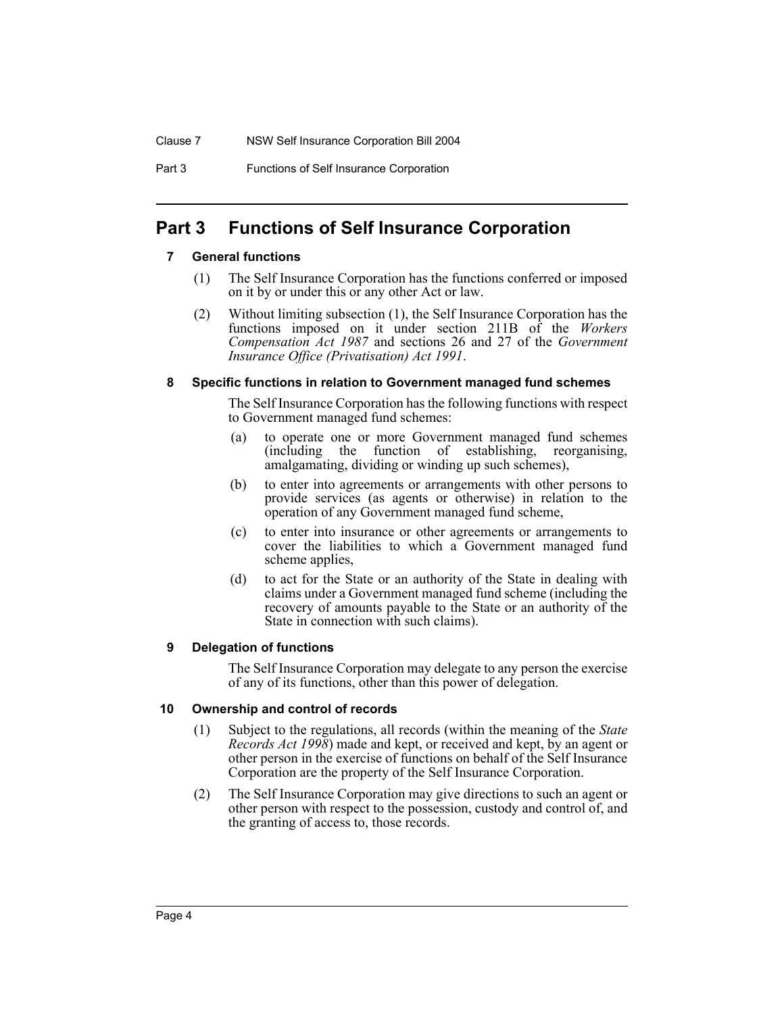Part 3 Functions of Self Insurance Corporation

## **Part 3 Functions of Self Insurance Corporation**

## **7 General functions**

- (1) The Self Insurance Corporation has the functions conferred or imposed on it by or under this or any other Act or law.
- (2) Without limiting subsection (1), the Self Insurance Corporation has the functions imposed on it under section 211B of the *Workers Compensation Act 1987* and sections 26 and 27 of the *Government Insurance Office (Privatisation) Act 1991*.

#### **8 Specific functions in relation to Government managed fund schemes**

The Self Insurance Corporation has the following functions with respect to Government managed fund schemes:

- (a) to operate one or more Government managed fund schemes (including the function of establishing, reorganising, amalgamating, dividing or winding up such schemes),
- (b) to enter into agreements or arrangements with other persons to provide services (as agents or otherwise) in relation to the operation of any Government managed fund scheme,
- (c) to enter into insurance or other agreements or arrangements to cover the liabilities to which a Government managed fund scheme applies,
- (d) to act for the State or an authority of the State in dealing with claims under a Government managed fund scheme (including the recovery of amounts payable to the State or an authority of the State in connection with such claims).

## **9 Delegation of functions**

The Self Insurance Corporation may delegate to any person the exercise of any of its functions, other than this power of delegation.

## **10 Ownership and control of records**

- (1) Subject to the regulations, all records (within the meaning of the *State Records Act 1998*) made and kept, or received and kept, by an agent or other person in the exercise of functions on behalf of the Self Insurance Corporation are the property of the Self Insurance Corporation.
- (2) The Self Insurance Corporation may give directions to such an agent or other person with respect to the possession, custody and control of, and the granting of access to, those records.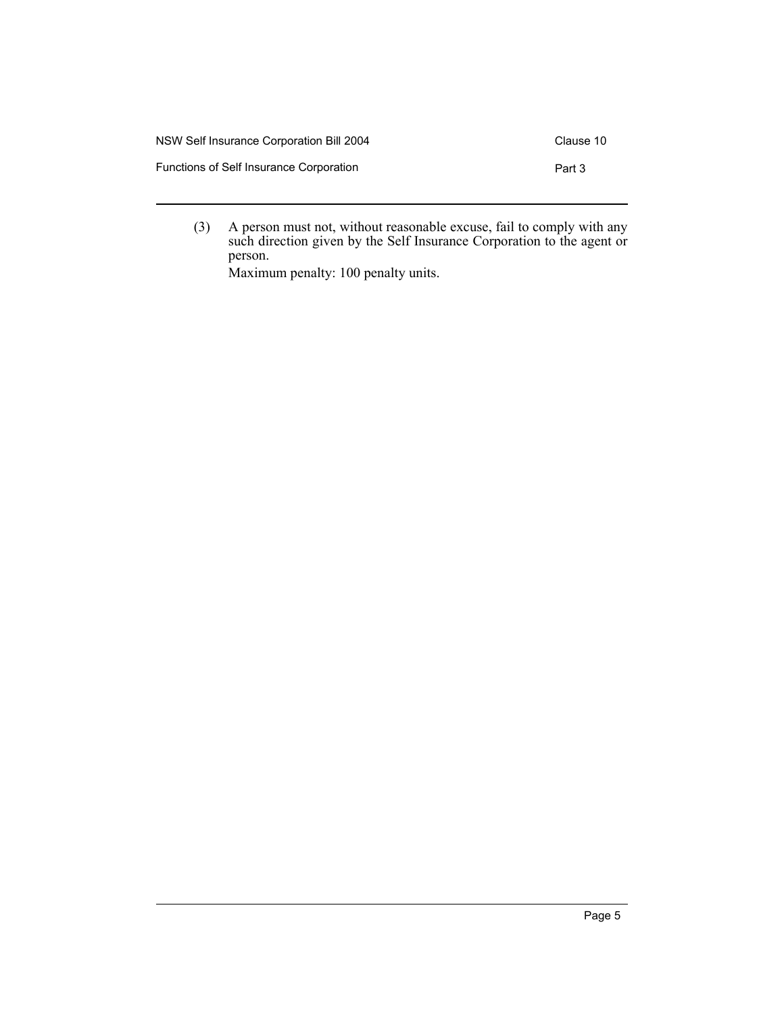| NSW Self Insurance Corporation Bill 2004 | Clause 10 |
|------------------------------------------|-----------|
| Functions of Self Insurance Corporation  | Part 3    |

(3) A person must not, without reasonable excuse, fail to comply with any such direction given by the Self Insurance Corporation to the agent or person.

Maximum penalty: 100 penalty units.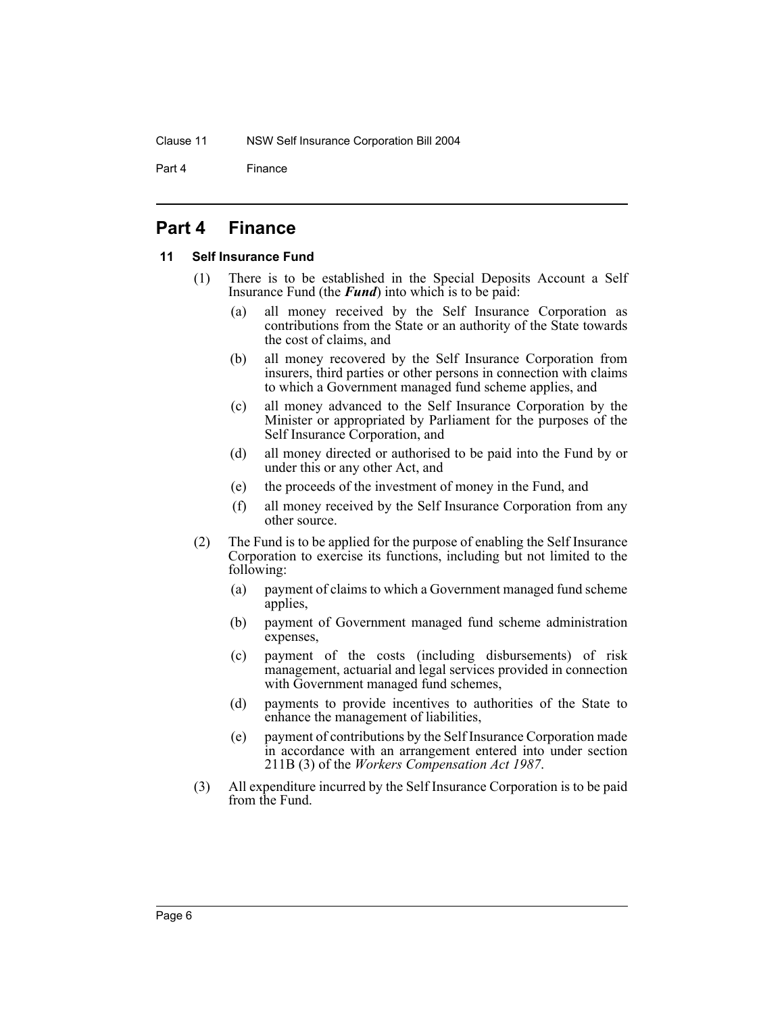Part 4 Finance

## **Part 4 Finance**

#### **11 Self Insurance Fund**

- (1) There is to be established in the Special Deposits Account a Self Insurance Fund (the *Fund*) into which is to be paid:
	- (a) all money received by the Self Insurance Corporation as contributions from the State or an authority of the State towards the cost of claims, and
	- (b) all money recovered by the Self Insurance Corporation from insurers, third parties or other persons in connection with claims to which a Government managed fund scheme applies, and
	- (c) all money advanced to the Self Insurance Corporation by the Minister or appropriated by Parliament for the purposes of the Self Insurance Corporation, and
	- (d) all money directed or authorised to be paid into the Fund by or under this or any other Act, and
	- (e) the proceeds of the investment of money in the Fund, and
	- (f) all money received by the Self Insurance Corporation from any other source.
- (2) The Fund is to be applied for the purpose of enabling the Self Insurance Corporation to exercise its functions, including but not limited to the following:
	- (a) payment of claims to which a Government managed fund scheme applies,
	- (b) payment of Government managed fund scheme administration expenses,
	- (c) payment of the costs (including disbursements) of risk management, actuarial and legal services provided in connection with Government managed fund schemes,
	- (d) payments to provide incentives to authorities of the State to enhance the management of liabilities,
	- (e) payment of contributions by the Self Insurance Corporation made in accordance with an arrangement entered into under section 211B (3) of the *Workers Compensation Act 1987*.
- (3) All expenditure incurred by the Self Insurance Corporation is to be paid from the Fund.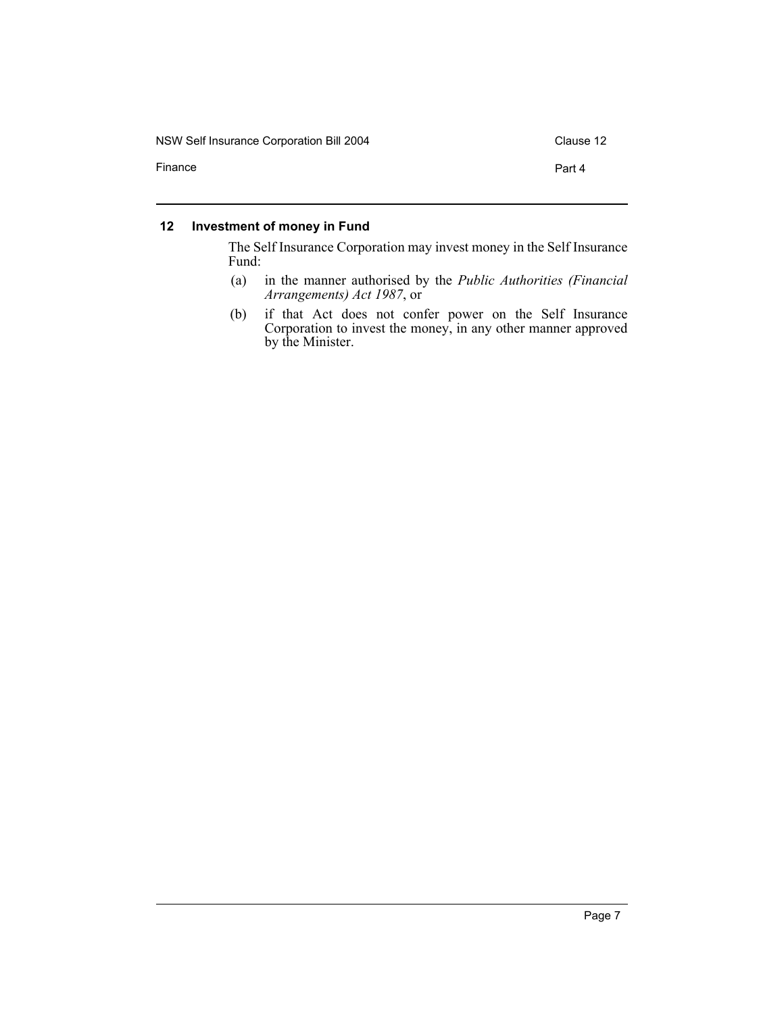NSW Self Insurance Corporation Bill 2004 Clause 12

Finance **Part 4** 

#### **12 Investment of money in Fund**

The Self Insurance Corporation may invest money in the Self Insurance Fund:

- (a) in the manner authorised by the *Public Authorities (Financial Arrangements) Act 1987*, or
- (b) if that Act does not confer power on the Self Insurance Corporation to invest the money, in any other manner approved by the Minister.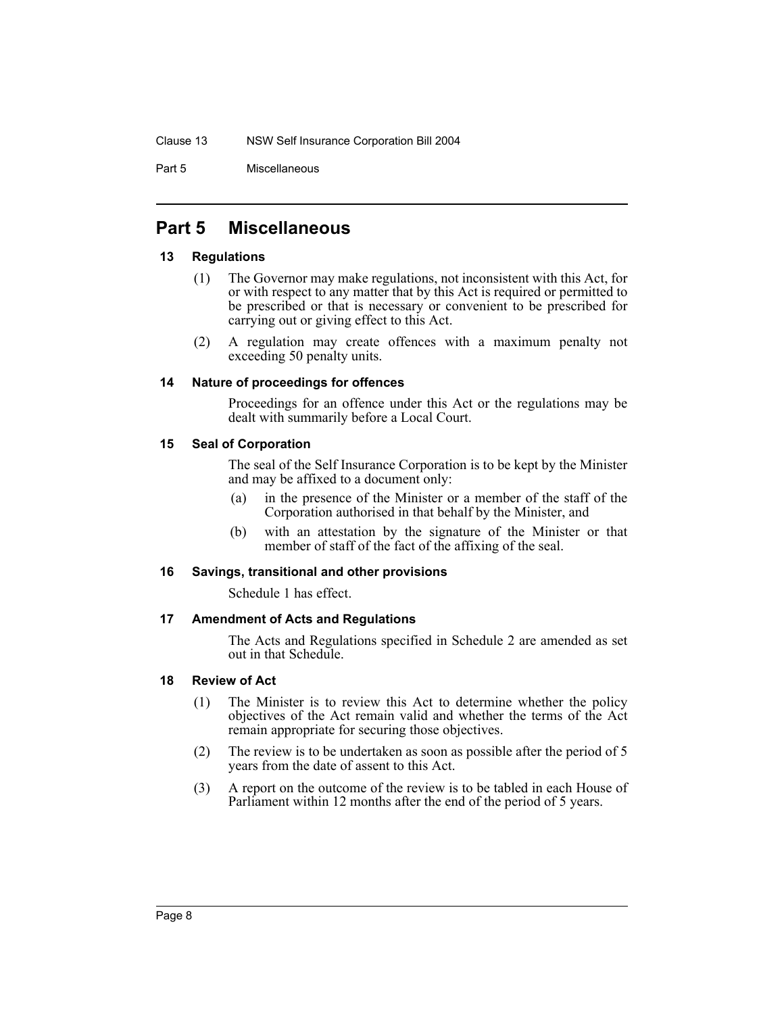Part 5 Miscellaneous

## **Part 5 Miscellaneous**

#### **13 Regulations**

- (1) The Governor may make regulations, not inconsistent with this Act, for or with respect to any matter that by this Act is required or permitted to be prescribed or that is necessary or convenient to be prescribed for carrying out or giving effect to this Act.
- (2) A regulation may create offences with a maximum penalty not exceeding 50 penalty units.

#### **14 Nature of proceedings for offences**

Proceedings for an offence under this Act or the regulations may be dealt with summarily before a Local Court.

## **15 Seal of Corporation**

The seal of the Self Insurance Corporation is to be kept by the Minister and may be affixed to a document only:

- (a) in the presence of the Minister or a member of the staff of the Corporation authorised in that behalf by the Minister, and
- (b) with an attestation by the signature of the Minister or that member of staff of the fact of the affixing of the seal.

## **16 Savings, transitional and other provisions**

Schedule 1 has effect.

## **17 Amendment of Acts and Regulations**

The Acts and Regulations specified in Schedule 2 are amended as set out in that Schedule.

#### **18 Review of Act**

- (1) The Minister is to review this Act to determine whether the policy objectives of the Act remain valid and whether the terms of the Act remain appropriate for securing those objectives.
- (2) The review is to be undertaken as soon as possible after the period of 5 years from the date of assent to this Act.
- (3) A report on the outcome of the review is to be tabled in each House of Parliament within 12 months after the end of the period of 5 years.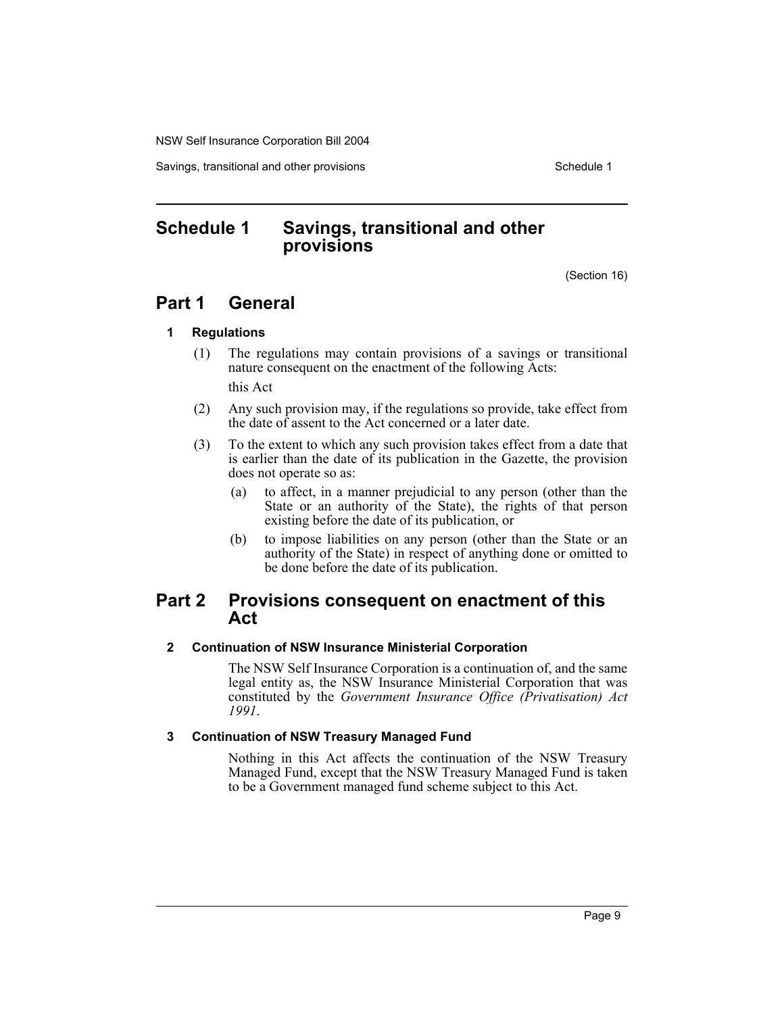Savings, transitional and other provisions Schedule 1 and the state of the state of the Schedule 1

## **Schedule 1 Savings, transitional and other provisions**

(Section 16)

## **Part 1 General**

#### **1 Regulations**

- (1) The regulations may contain provisions of a savings or transitional nature consequent on the enactment of the following Acts: this Act
- (2) Any such provision may, if the regulations so provide, take effect from the date of assent to the Act concerned or a later date.
- (3) To the extent to which any such provision takes effect from a date that is earlier than the date of its publication in the Gazette, the provision does not operate so as:
	- (a) to affect, in a manner prejudicial to any person (other than the State or an authority of the State), the rights of that person existing before the date of its publication, or
	- (b) to impose liabilities on any person (other than the State or an authority of the State) in respect of anything done or omitted to be done before the date of its publication.

## **Part 2 Provisions consequent on enactment of this Act**

#### **2 Continuation of NSW Insurance Ministerial Corporation**

The NSW Self Insurance Corporation is a continuation of, and the same legal entity as, the NSW Insurance Ministerial Corporation that was constituted by the *Government Insurance Office (Privatisation) Act 1991*.

#### **3 Continuation of NSW Treasury Managed Fund**

Nothing in this Act affects the continuation of the NSW Treasury Managed Fund, except that the NSW Treasury Managed Fund is taken to be a Government managed fund scheme subject to this Act.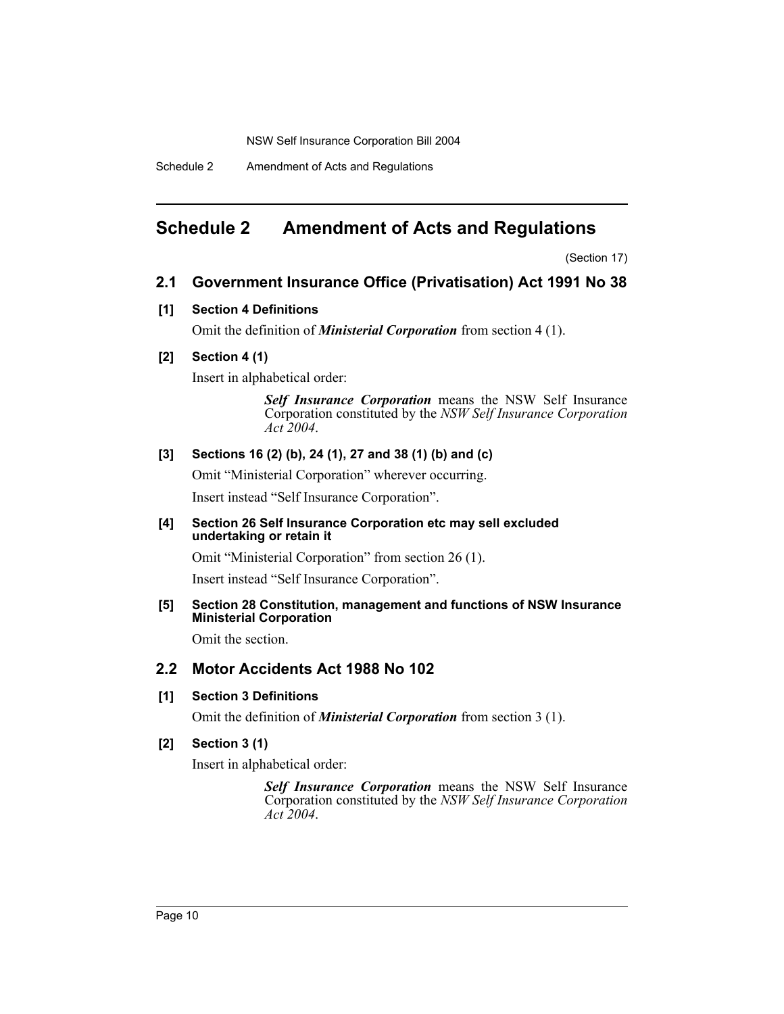Schedule 2 Amendment of Acts and Regulations

## **Schedule 2 Amendment of Acts and Regulations**

(Section 17)

## **2.1 Government Insurance Office (Privatisation) Act 1991 No 38**

#### **[1] Section 4 Definitions**

Omit the definition of *Ministerial Corporation* from section 4 (1).

## **[2] Section 4 (1)**

Insert in alphabetical order:

*Self Insurance Corporation* means the NSW Self Insurance Corporation constituted by the *NSW Self Insurance Corporation Act 2004*.

#### **[3] Sections 16 (2) (b), 24 (1), 27 and 38 (1) (b) and (c)**

Omit "Ministerial Corporation" wherever occurring. Insert instead "Self Insurance Corporation".

#### **[4] Section 26 Self Insurance Corporation etc may sell excluded undertaking or retain it**

Omit "Ministerial Corporation" from section 26 (1).

Insert instead "Self Insurance Corporation".

#### **[5] Section 28 Constitution, management and functions of NSW Insurance Ministerial Corporation**

Omit the section.

## **2.2 Motor Accidents Act 1988 No 102**

#### **[1] Section 3 Definitions**

Omit the definition of *Ministerial Corporation* from section 3 (1).

#### **[2] Section 3 (1)**

Insert in alphabetical order:

*Self Insurance Corporation* means the NSW Self Insurance Corporation constituted by the *NSW Self Insurance Corporation Act 2004*.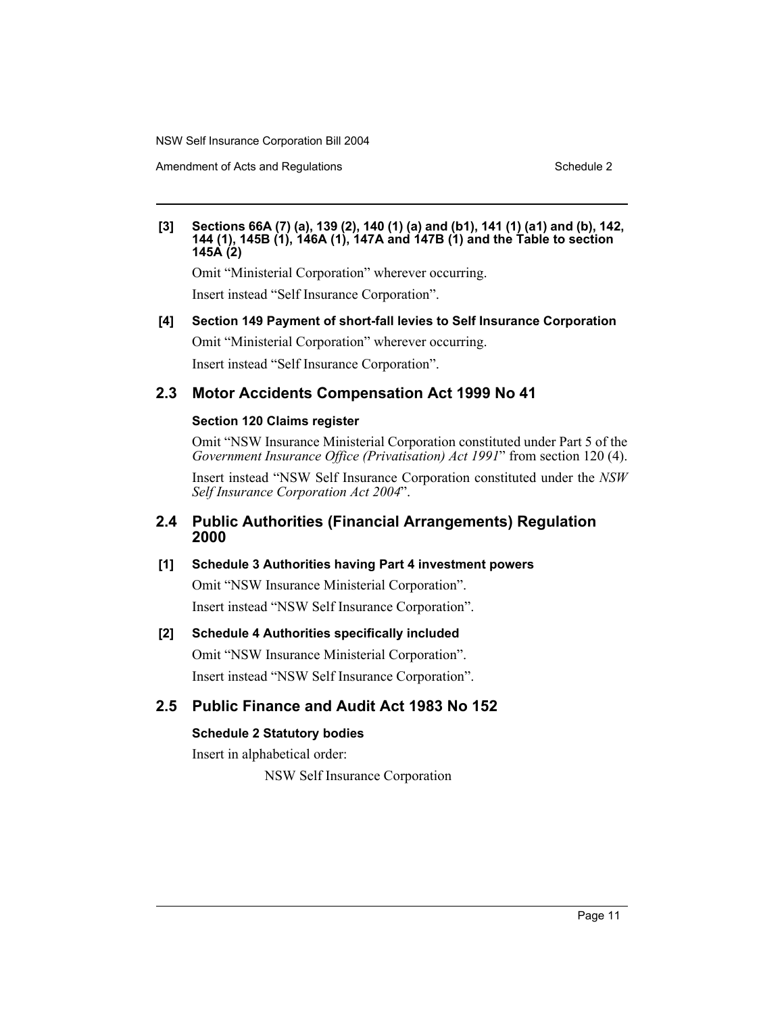Amendment of Acts and Regulations Schedule 2 and 3 and 3 and 3 and 3 and 3 and 3 and 3 and 3 and 3 and 3 and 3 and 3 and 3 and 3 and 3 and 3 and 3 and 3 and 3 and 3 and 3 and 3 and 3 and 3 and 3 and 3 and 3 and 3 and 3 and

#### **[3] Sections 66A (7) (a), 139 (2), 140 (1) (a) and (b1), 141 (1) (a1) and (b), 142, 144 (1), 145B (1), 146A (1), 147A and 147B (1) and the Table to section 145A (2)**

Omit "Ministerial Corporation" wherever occurring.

Insert instead "Self Insurance Corporation".

**[4] Section 149 Payment of short-fall levies to Self Insurance Corporation** Omit "Ministerial Corporation" wherever occurring.

Insert instead "Self Insurance Corporation".

## **2.3 Motor Accidents Compensation Act 1999 No 41**

#### **Section 120 Claims register**

Omit "NSW Insurance Ministerial Corporation constituted under Part 5 of the *Government Insurance Office (Privatisation) Act 1991*" from section 120 (4).

Insert instead "NSW Self Insurance Corporation constituted under the *NSW Self Insurance Corporation Act 2004*".

## **2.4 Public Authorities (Financial Arrangements) Regulation 2000**

#### **[1] Schedule 3 Authorities having Part 4 investment powers**

Omit "NSW Insurance Ministerial Corporation". Insert instead "NSW Self Insurance Corporation".

## **[2] Schedule 4 Authorities specifically included**

Omit "NSW Insurance Ministerial Corporation". Insert instead "NSW Self Insurance Corporation".

## **2.5 Public Finance and Audit Act 1983 No 152**

## **Schedule 2 Statutory bodies**

Insert in alphabetical order:

NSW Self Insurance Corporation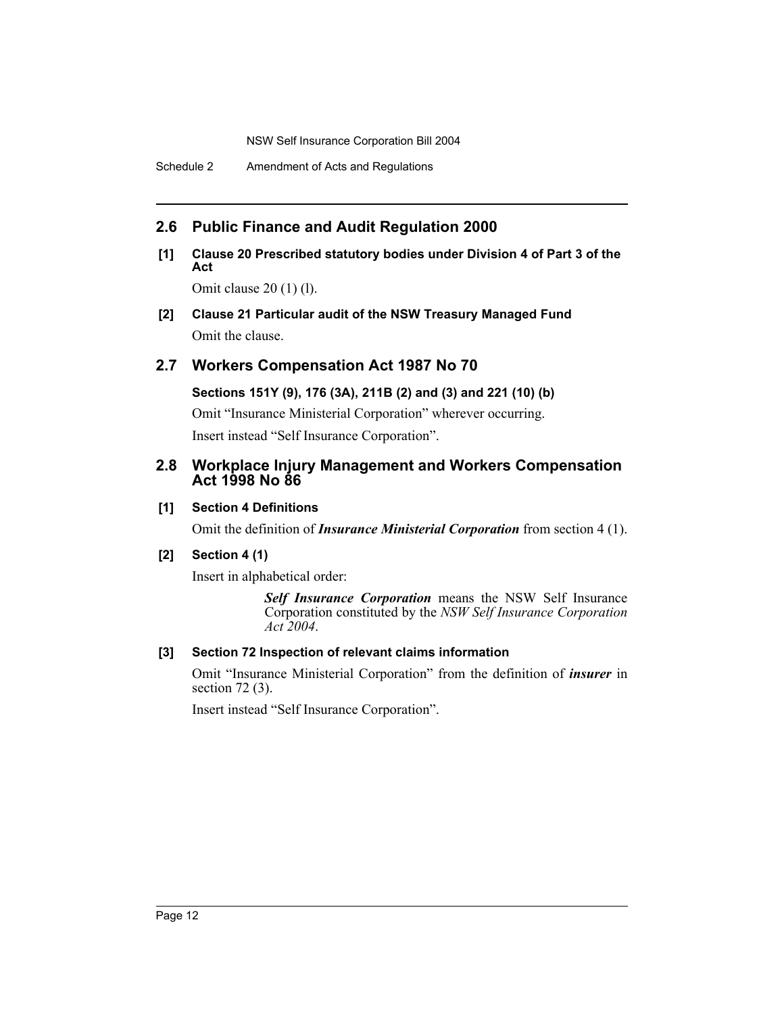Schedule 2 Amendment of Acts and Regulations

## **2.6 Public Finance and Audit Regulation 2000**

## **[1] Clause 20 Prescribed statutory bodies under Division 4 of Part 3 of the Act**

Omit clause 20 (1) (l).

**[2] Clause 21 Particular audit of the NSW Treasury Managed Fund** Omit the clause.

## **2.7 Workers Compensation Act 1987 No 70**

**Sections 151Y (9), 176 (3A), 211B (2) and (3) and 221 (10) (b)**

Omit "Insurance Ministerial Corporation" wherever occurring. Insert instead "Self Insurance Corporation".

## **2.8 Workplace Injury Management and Workers Compensation Act 1998 No 86**

## **[1] Section 4 Definitions**

Omit the definition of *Insurance Ministerial Corporation* from section 4 (1).

## **[2] Section 4 (1)**

Insert in alphabetical order:

*Self Insurance Corporation* means the NSW Self Insurance Corporation constituted by the *NSW Self Insurance Corporation Act 2004*.

## **[3] Section 72 Inspection of relevant claims information**

Omit "Insurance Ministerial Corporation" from the definition of *insurer* in section 72 (3).

Insert instead "Self Insurance Corporation".